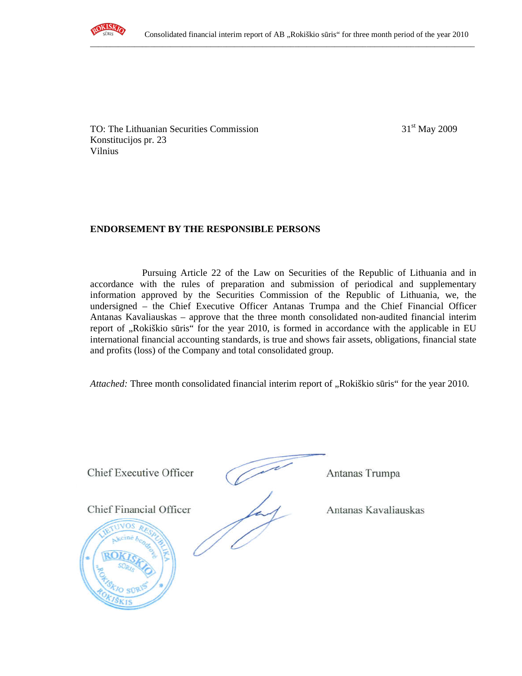

TO: The Lithuanian Securities Commission 31<sup>st</sup> May 2009 Konstitucijos pr. 23 Vilnius

## **ENDORSEMENT BY THE RESPONSIBLE PERSONS**

Pursuing Article 22 of the Law on Securities of the Republic of Lithuania and in accordance with the rules of preparation and submission of periodical and supplementary information approved by the Securities Commission of the Republic of Lithuania, we, the undersigned – the Chief Executive Officer Antanas Trumpa and the Chief Financial Officer Antanas Kavaliauskas – approve that the three month consolidated non-audited financial interim report of "Rokiškio sūris" for the year 2010, is formed in accordance with the applicable in EU international financial accounting standards, is true and shows fair assets, obligations, financial state and profits (loss) of the Company and total consolidated group.

Attached: Three month consolidated financial interim report of "Rokiškio sūris" for the year 2010.

Chief Executive Officer Antanas Trumpa **Chief Executive Officer** Antanas Trumpa Chief Financial Officer Antanas Kavaliauskas Chief Financial Officer Antanas Kavaliauskas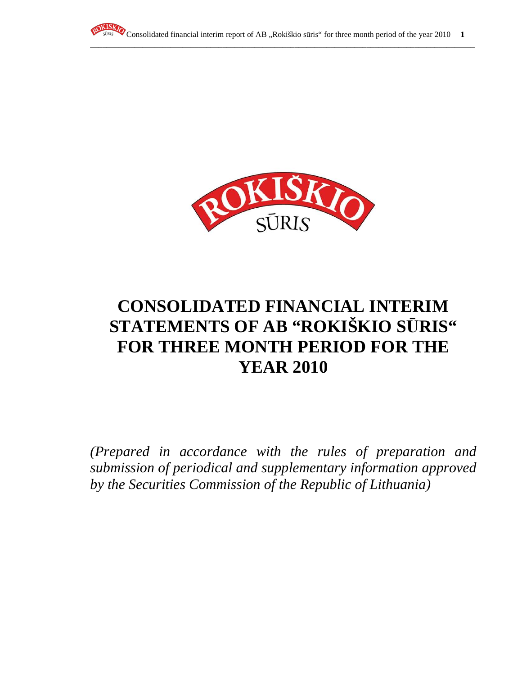



# **CONSOLIDATED FINANCIAL INTERIM STATEMENTS OF AB "ROKIŠKIO S**Ū**RIS" FOR THREE MONTH PERIOD FOR THE YEAR 2010**

*(Prepared in accordance with the rules of preparation and submission of periodical and supplementary information approved by the Securities Commission of the Republic of Lithuania)*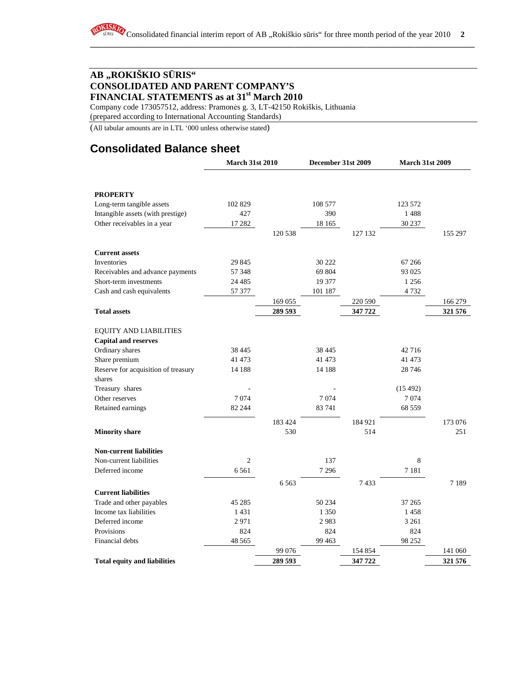Company code 173057512, address: Pramonės g. 3, LT-42150 Rokiškis, Lithuania

(prepared according to International Accounting Standards)

(All tabular amounts are in LTL '000 unless otherwise stated)

# **Consolidated Balance sheet**

|                                     | <b>March 31st 2010</b> |         | December 31st 2009 |         | <b>March 31st 2009</b> |         |
|-------------------------------------|------------------------|---------|--------------------|---------|------------------------|---------|
|                                     |                        |         |                    |         |                        |         |
| <b>PROPERTY</b>                     |                        |         |                    |         |                        |         |
| Long-term tangible assets           | 102 829                |         | 108 577            |         | 123 572                |         |
| Intangible assets (with prestige)   | 427                    |         | 390                |         | 1488                   |         |
| Other receivables in a year         | 17 282                 |         | 18 165             |         | 30 237                 |         |
|                                     |                        | 120 538 |                    | 127 132 |                        | 155 297 |
| <b>Current assets</b>               |                        |         |                    |         |                        |         |
| Inventories                         | 29 845                 |         | 30 222             |         | 67 266                 |         |
| Receivables and advance payments    | 57 348                 |         | 69 804             |         | 93 0 25                |         |
| Short-term investments              | 24 4 8 5               |         | 19 377             |         | 1 2 5 6                |         |
| Cash and cash equivalents           | 57 377                 |         | 101 187            |         | 4 7 3 2                |         |
|                                     |                        | 169 055 |                    | 220 590 |                        | 166 279 |
| <b>Total assets</b>                 |                        | 289 593 |                    | 347 722 |                        | 321 576 |
| <b>EQUITY AND LIABILITIES</b>       |                        |         |                    |         |                        |         |
| <b>Capital and reserves</b>         |                        |         |                    |         |                        |         |
| Ordinary shares                     | 38 4 45                |         | 38 4 45            |         | 42 716                 |         |
| Share premium                       | 41 473                 |         | 41 473             |         | 41 473                 |         |
| Reserve for acquisition of treasury | 14 188                 |         | 14 188             |         | 28 746                 |         |
| shares                              |                        |         |                    |         |                        |         |
| Treasury shares                     |                        |         |                    |         | (15492)                |         |
| Other reserves                      | 7074                   |         | 7074               |         | 7074                   |         |
| Retained earnings                   | 82 244                 |         | 83 741             |         | 68 559                 |         |
|                                     |                        | 183 424 |                    | 184 921 |                        | 173 076 |
| <b>Minority share</b>               |                        | 530     |                    | 514     |                        | 251     |
| <b>Non-current liabilities</b>      |                        |         |                    |         |                        |         |
| Non-current liabilities             | 2                      |         | 137                |         | 8                      |         |
| Deferred income                     | 6 5 6 1                |         | 7 2 9 6            |         | 7 1 8 1                |         |
|                                     |                        | 6 5 6 3 |                    | 7433    |                        | 7189    |
| <b>Current liabilities</b>          |                        |         |                    |         |                        |         |
| Trade and other payables            | 45 28 5                |         | 50 234             |         | 37 265                 |         |
| Income tax liabilities              | 1431                   |         | 1 3 5 0            |         | 1458                   |         |
| Deferred income                     | 2971                   |         | 2983               |         | 3 2 6 1                |         |
| Provisions                          | 824                    |         | 824                |         | 824                    |         |
| Financial debts                     | 48 5 65                |         | 99 4 63            |         | 98 25 2                |         |
|                                     |                        | 99 076  |                    | 154 854 |                        | 141 060 |
| <b>Total equity and liabilities</b> |                        | 289 593 |                    | 347722  |                        | 321 576 |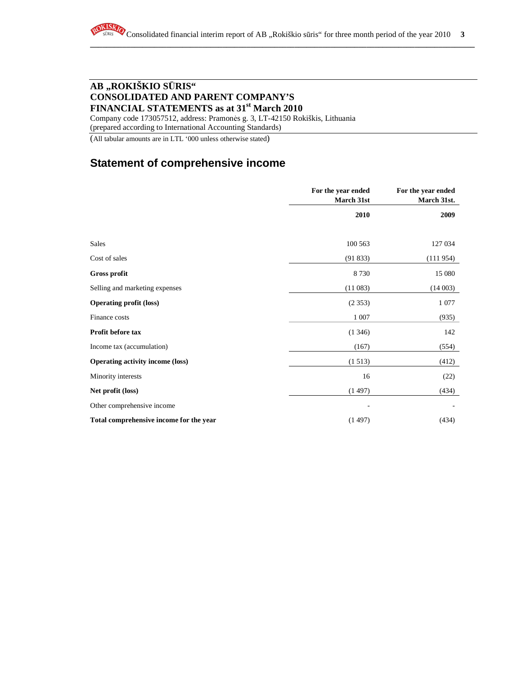Company code 173057512, address: Pramonės g. 3, LT-42150 Rokiškis, Lithuania (prepared according to International Accounting Standards)

(All tabular amounts are in LTL '000 unless otherwise stated)

# **Statement of comprehensive income**

|                                         | For the year ended<br>March 31st | For the year ended<br>March 31st. |
|-----------------------------------------|----------------------------------|-----------------------------------|
|                                         | 2010                             | 2009                              |
|                                         |                                  |                                   |
| <b>Sales</b>                            | 100 563                          | 127 034                           |
| Cost of sales                           | (91833)                          | (111954)                          |
| <b>Gross profit</b>                     | 8730                             | 15 080                            |
| Selling and marketing expenses          | (11083)                          | (14003)                           |
| <b>Operating profit (loss)</b>          | (2353)                           | 1 0 7 7                           |
| Finance costs                           | 1 0 0 7                          | (935)                             |
| Profit before tax                       | (1346)                           | 142                               |
| Income tax (accumulation)               | (167)                            | (554)                             |
| <b>Operating activity income (loss)</b> | (1513)                           | (412)                             |
| Minority interests                      | 16                               | (22)                              |
| Net profit (loss)                       | (1497)                           | (434)                             |
| Other comprehensive income              |                                  |                                   |
| Total comprehensive income for the year | (1497)                           | (434)                             |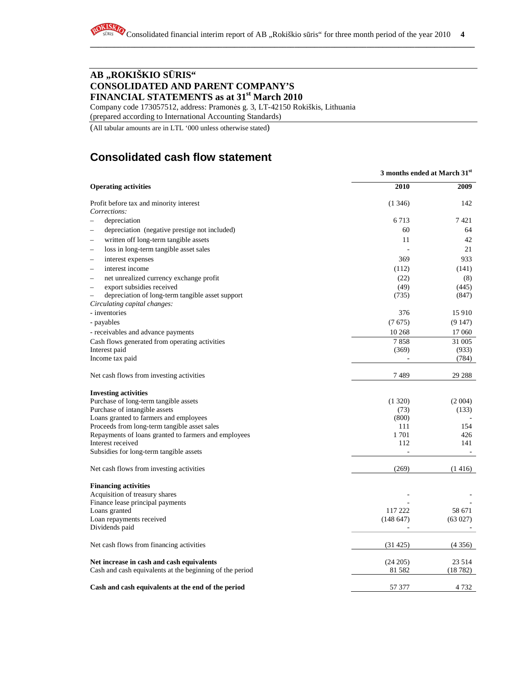Company code 173057512, address: Pramonės g. 3, LT-42150 Rokiškis, Lithuania

(prepared according to International Accounting Standards)

(All tabular amounts are in LTL '000 unless otherwise stated)

# **Consolidated cash flow statement**

|                                                                     | 3 months ended at March 31 <sup>st</sup> |         |
|---------------------------------------------------------------------|------------------------------------------|---------|
| <b>Operating activities</b>                                         | 2010                                     | 2009    |
| Profit before tax and minority interest                             | (1346)                                   | 142     |
| Corrections:                                                        |                                          |         |
| depreciation                                                        | 6 7 1 3                                  | 7421    |
| depreciation (negative prestige not included)                       | 60                                       | 64      |
| written off long-term tangible assets                               | 11                                       | 42      |
| loss in long-term tangible asset sales                              |                                          | 21      |
| interest expenses                                                   | 369                                      | 933     |
| interest income<br>$\overline{\phantom{a}}$                         | (112)                                    | (141)   |
| net unrealized currency exchange profit<br>$\overline{\phantom{0}}$ | (22)                                     | (8)     |
| export subsidies received<br>$\overline{\phantom{0}}$               | (49)                                     | (445)   |
| depreciation of long-term tangible asset support<br>$\equiv$        | (735)                                    | (847)   |
| Circulating capital changes:                                        |                                          |         |
| - inventories                                                       | 376                                      | 15 9 10 |
| - payables                                                          | (7675)                                   | (9147)  |
| - receivables and advance payments                                  | 10 268                                   | 17 060  |
| Cash flows generated from operating activities                      | 7858                                     | 31 005  |
| Interest paid                                                       | (369)                                    | (933)   |
| Income tax paid                                                     |                                          | (784)   |
| Net cash flows from investing activities                            | 7489                                     | 29 288  |
| <b>Investing activities</b>                                         |                                          |         |
| Purchase of long-term tangible assets                               | (1320)                                   | (2004)  |
| Purchase of intangible assets                                       | (73)                                     | (133)   |
| Loans granted to farmers and employees                              | (800)                                    |         |
| Proceeds from long-term tangible asset sales                        | 111                                      | 154     |
| Repayments of loans granted to farmers and employees                | 1701                                     | 426     |
| Interest received                                                   | 112                                      | 141     |
| Subsidies for long-term tangible assets                             |                                          |         |
| Net cash flows from investing activities                            | (269)                                    | (1416)  |
| <b>Financing activities</b>                                         |                                          |         |
| Acquisition of treasury shares                                      |                                          |         |
| Finance lease principal payments                                    |                                          |         |
| Loans granted                                                       | 117 222                                  | 58 671  |
| Loan repayments received                                            | (148647)                                 | (63027) |
| Dividends paid                                                      |                                          |         |
| Net cash flows from financing activities                            | (31425)                                  | (4356)  |
| Net increase in cash and cash equivalents                           | (24205)                                  | 23 5 14 |
| Cash and cash equivalents at the beginning of the period            | 81 5 82                                  | (18782) |
| Cash and cash equivalents at the end of the period                  | 57 377                                   | 4 7 3 2 |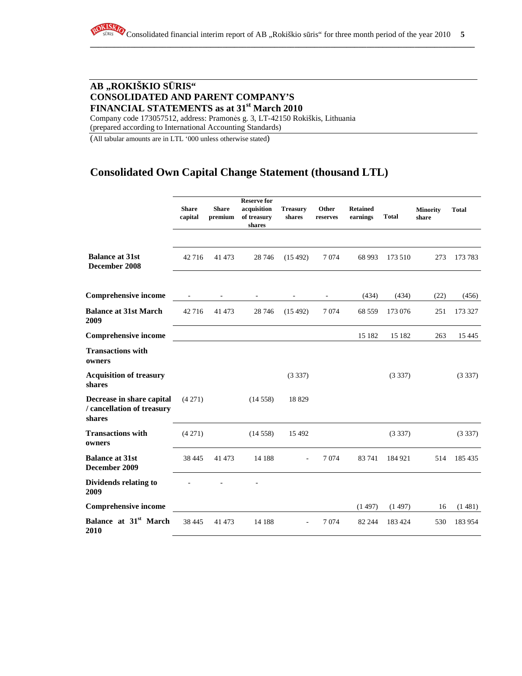Company code 173057512, address: Pramonės g. 3, LT-42150 Rokiškis, Lithuania (prepared according to International Accounting Standards)

(All tabular amounts are in LTL '000 unless otherwise stated)

# **Consolidated Own Capital Change Statement (thousand LTL)**

|                                                                   | <b>Share</b><br>capital  | <b>Share</b><br>premium  | <b>Reserve for</b><br>acquisition<br>of treasury<br>shares | <b>Treasury</b><br>shares | Other<br>reserves        | <b>Retained</b><br>earnings | <b>Total</b> | <b>Minority</b><br>share | <b>Total</b> |
|-------------------------------------------------------------------|--------------------------|--------------------------|------------------------------------------------------------|---------------------------|--------------------------|-----------------------------|--------------|--------------------------|--------------|
| <b>Balance at 31st</b><br>December 2008                           | 42 716                   | 41 473                   | 28 74 6                                                    | (15492)                   | 7 0 7 4                  | 68 993                      | 173 510      | 273                      | 173 783      |
| <b>Comprehensive income</b>                                       | $\overline{\phantom{a}}$ | $\overline{\phantom{a}}$ | $\overline{\phantom{a}}$                                   | $\overline{\phantom{a}}$  | $\overline{\phantom{a}}$ | (434)                       | (434)        | (22)                     | (456)        |
| <b>Balance at 31st March</b><br>2009                              | 42 716                   | 41 473                   | 28 74 6                                                    | (15492)                   | 7 0 7 4                  | 68 559                      | 173 076      | 251                      | 173 327      |
| <b>Comprehensive income</b>                                       |                          |                          |                                                            |                           |                          | 15 182                      | 15 182       | 263                      | 15 4 45      |
| <b>Transactions with</b><br>owners                                |                          |                          |                                                            |                           |                          |                             |              |                          |              |
| <b>Acquisition of treasury</b><br>shares                          |                          |                          |                                                            | (3337)                    |                          |                             | (3337)       |                          | (3337)       |
| Decrease in share capital<br>/ cancellation of treasury<br>shares | (4271)                   |                          | (14558)                                                    | 18829                     |                          |                             |              |                          |              |
| <b>Transactions with</b><br>owners                                | (4271)                   |                          | (14558)                                                    | 15 4 92                   |                          |                             | (3337)       |                          | (3337)       |
| <b>Balance at 31st</b><br>December 2009                           | 38 4 45                  | 41 473                   | 14 188                                                     |                           | 7074                     | 83 741                      | 184 921      | 514                      | 185 435      |
| <b>Dividends relating to</b><br>2009                              |                          |                          |                                                            |                           |                          |                             |              |                          |              |
| <b>Comprehensive income</b>                                       |                          |                          |                                                            |                           |                          | (1497)                      | (1497)       | 16                       | (1481)       |
| Balance at 31 <sup>st</sup> March<br>2010                         | 38 4 45                  | 41 473                   | 14 188                                                     |                           | 7074                     | 82 244                      | 183 424      | 530                      | 183 954      |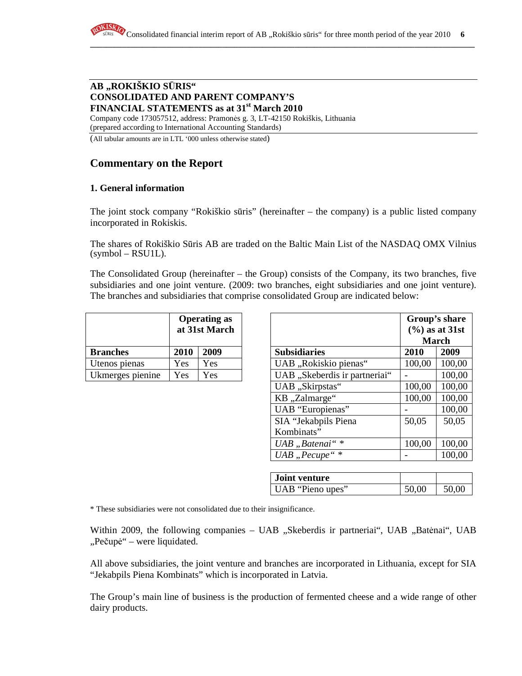Company code 173057512, address: Pramonės g. 3, LT-42150 Rokiškis, Lithuania (prepared according to International Accounting Standards)

(All tabular amounts are in LTL '000 unless otherwise stated)

# **Commentary on the Report**

#### **1. General information**

The joint stock company "Rokiškio sūris" (hereinafter – the company) is a public listed company incorporated in Rokiskis.

The shares of Rokiškio Sūris AB are traded on the Baltic Main List of the NASDAQ OMX Vilnius (symbol – RSU1L).

The Consolidated Group (hereinafter – the Group) consists of the Company, its two branches, five subsidiaries and one joint venture. (2009: two branches, eight subsidiaries and one joint venture). The branches and subsidiaries that comprise consolidated Group are indicated below:

|                  | <b>Operating as</b><br>at 31st March |      |  |
|------------------|--------------------------------------|------|--|
| <b>Branches</b>  | 2010                                 | 2009 |  |
| Utenos pienas    | Yes                                  | Yes  |  |
| Ukmerges pienine | Yes                                  | Yes  |  |

|                  |      | <b>Operating as</b><br>at 31st March |                               | Group's share<br>$(\% )$ as at 31st<br><b>March</b> |        |
|------------------|------|--------------------------------------|-------------------------------|-----------------------------------------------------|--------|
| <b>Branches</b>  | 2010 | 2009                                 | <b>Subsidiaries</b>           | 2010                                                | 2009   |
| Utenos pienas    | Yes. | Yes                                  | UAB, "Rokiskio pienas"        | 100,00                                              | 100,00 |
| Ukmerges pienine | Yes  | Yes                                  | UAB "Skeberdis ir partneriai" |                                                     | 100,00 |
|                  |      |                                      | UAB "Skirpstas"               | 100,00                                              | 100,00 |
|                  |      |                                      | KB "Zalmarge"                 | 100,00                                              | 100,00 |
|                  |      |                                      | UAB "Europienas"              |                                                     | 100,00 |
|                  |      |                                      | SIA "Jekabpils Piena          | 50,05                                               | 50,05  |
|                  |      |                                      | Kombinats"                    |                                                     |        |
|                  |      |                                      | UAB "Batenai" *               | 100,00                                              | 100,00 |
|                  |      |                                      | UAB "Pecupe"*                 |                                                     | 100,00 |

| Joint venture    |       |       |
|------------------|-------|-------|
| UAB "Pieno upes" | 50,00 | 50,00 |

\* These subsidiaries were not consolidated due to their insignificance.

Within 2009, the following companies – UAB "Skeberdis ir partneriai", UAB "Batėnai", UAB "Pečupė" – were liquidated.

All above subsidiaries, the joint venture and branches are incorporated in Lithuania, except for SIA "Jekabpils Piena Kombinats" which is incorporated in Latvia.

The Group's main line of business is the production of fermented cheese and a wide range of other dairy products.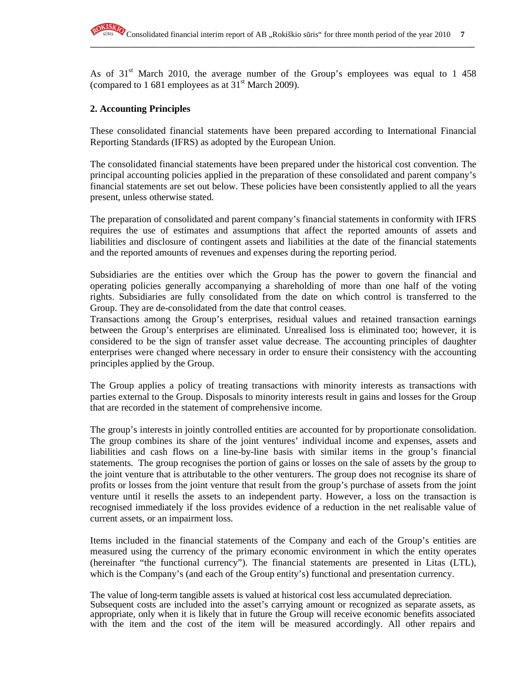As of  $31<sup>st</sup>$  March 2010, the average number of the Group's employees was equal to 1 458 (compared to 1 681 employees as at  $31<sup>st</sup>$  March 2009).

**\_\_\_\_\_\_\_\_\_\_\_\_\_\_\_\_\_\_\_\_\_\_\_\_\_\_\_\_\_\_\_\_\_\_\_\_\_\_\_\_\_\_\_\_\_\_\_\_\_\_\_\_\_\_\_\_\_\_\_\_\_\_\_\_\_\_\_\_\_\_\_\_\_\_\_\_\_\_\_\_\_\_\_\_\_\_\_\_\_\_\_\_\_\_\_\_**

### **2. Accounting Principles**

These consolidated financial statements have been prepared according to International Financial Reporting Standards (IFRS) as adopted by the European Union.

The consolidated financial statements have been prepared under the historical cost convention. The principal accounting policies applied in the preparation of these consolidated and parent company's financial statements are set out below. These policies have been consistently applied to all the years present, unless otherwise stated.

The preparation of consolidated and parent company's financial statements in conformity with IFRS requires the use of estimates and assumptions that affect the reported amounts of assets and liabilities and disclosure of contingent assets and liabilities at the date of the financial statements and the reported amounts of revenues and expenses during the reporting period.

Subsidiaries are the entities over which the Group has the power to govern the financial and operating policies generally accompanying a shareholding of more than one half of the voting rights. Subsidiaries are fully consolidated from the date on which control is transferred to the Group. They are de-consolidated from the date that control ceases.

Transactions among the Group's enterprises, residual values and retained transaction earnings between the Group's enterprises are eliminated. Unrealised loss is eliminated too; however, it is considered to be the sign of transfer asset value decrease. The accounting principles of daughter enterprises were changed where necessary in order to ensure their consistency with the accounting principles applied by the Group.

The Group applies a policy of treating transactions with minority interests as transactions with parties external to the Group. Disposals to minority interests result in gains and losses for the Group that are recorded in the statement of comprehensive income.

The group's interests in jointly controlled entities are accounted for by proportionate consolidation. The group combines its share of the joint ventures' individual income and expenses, assets and liabilities and cash flows on a line-by-line basis with similar items in the group's financial statements. The group recognises the portion of gains or losses on the sale of assets by the group to the joint venture that is attributable to the other venturers. The group does not recognise its share of profits or losses from the joint venture that result from the group's purchase of assets from the joint venture until it resells the assets to an independent party. However, a loss on the transaction is recognised immediately if the loss provides evidence of a reduction in the net realisable value of current assets, or an impairment loss.

Items included in the financial statements of the Company and each of the Group's entities are measured using the currency of the primary economic environment in which the entity operates (hereinafter "the functional currency"). The financial statements are presented in Litas (LTL), which is the Company's (and each of the Group entity's) functional and presentation currency.

The value of long-term tangible assets is valued at historical cost less accumulated depreciation. Subsequent costs are included into the asset's carrying amount or recognized as separate assets, as appropriate, only when it is likely that in future the Group will receive economic benefits associated with the item and the cost of the item will be measured accordingly. All other repairs and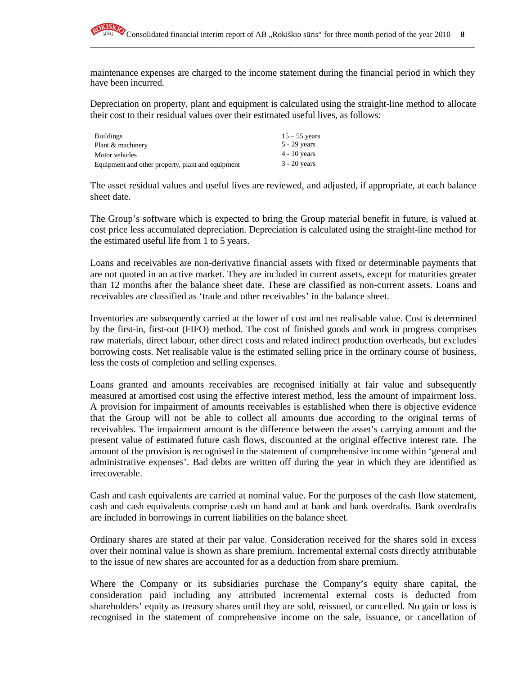

maintenance expenses are charged to the income statement during the financial period in which they have been incurred.

**\_\_\_\_\_\_\_\_\_\_\_\_\_\_\_\_\_\_\_\_\_\_\_\_\_\_\_\_\_\_\_\_\_\_\_\_\_\_\_\_\_\_\_\_\_\_\_\_\_\_\_\_\_\_\_\_\_\_\_\_\_\_\_\_\_\_\_\_\_\_\_\_\_\_\_\_\_\_\_\_\_\_\_\_\_\_\_\_\_\_\_\_\_\_\_\_**

Depreciation on property, plant and equipment is calculated using the straight-line method to allocate their cost to their residual values over their estimated useful lives, as follows:

| <b>Buildings</b>                                  | $15 - 55$ years |
|---------------------------------------------------|-----------------|
| Plant & machinery                                 | $5 - 29$ years  |
| Motor vehicles                                    | $4 - 10$ years  |
| Equipment and other property, plant and equipment | $3 - 20$ years  |

The asset residual values and useful lives are reviewed, and adjusted, if appropriate, at each balance sheet date.

The Group's software which is expected to bring the Group material benefit in future, is valued at cost price less accumulated depreciation. Depreciation is calculated using the straight-line method for the estimated useful life from 1 to 5 years.

Loans and receivables are non-derivative financial assets with fixed or determinable payments that are not quoted in an active market. They are included in current assets, except for maturities greater than 12 months after the balance sheet date. These are classified as non-current assets. Loans and receivables are classified as 'trade and other receivables' in the balance sheet.

Inventories are subsequently carried at the lower of cost and net realisable value. Cost is determined by the first-in, first-out (FIFO) method. The cost of finished goods and work in progress comprises raw materials, direct labour, other direct costs and related indirect production overheads, but excludes borrowing costs. Net realisable value is the estimated selling price in the ordinary course of business, less the costs of completion and selling expenses.

Loans granted and amounts receivables are recognised initially at fair value and subsequently measured at amortised cost using the effective interest method, less the amount of impairment loss. A provision for impairment of amounts receivables is established when there is objective evidence that the Group will not be able to collect all amounts due according to the original terms of receivables. The impairment amount is the difference between the asset's carrying amount and the present value of estimated future cash flows, discounted at the original effective interest rate. The amount of the provision is recognised in the statement of comprehensive income within 'general and administrative expenses'. Bad debts are written off during the year in which they are identified as irrecoverable.

Cash and cash equivalents are carried at nominal value. For the purposes of the cash flow statement, cash and cash equivalents comprise cash on hand and at bank and bank overdrafts. Bank overdrafts are included in borrowings in current liabilities on the balance sheet.

Ordinary shares are stated at their par value. Consideration received for the shares sold in excess over their nominal value is shown as share premium. Incremental external costs directly attributable to the issue of new shares are accounted for as a deduction from share premium.

Where the Company or its subsidiaries purchase the Company's equity share capital, the consideration paid including any attributed incremental external costs is deducted from shareholders' equity as treasury shares until they are sold, reissued, or cancelled. No gain or loss is recognised in the statement of comprehensive income on the sale, issuance, or cancellation of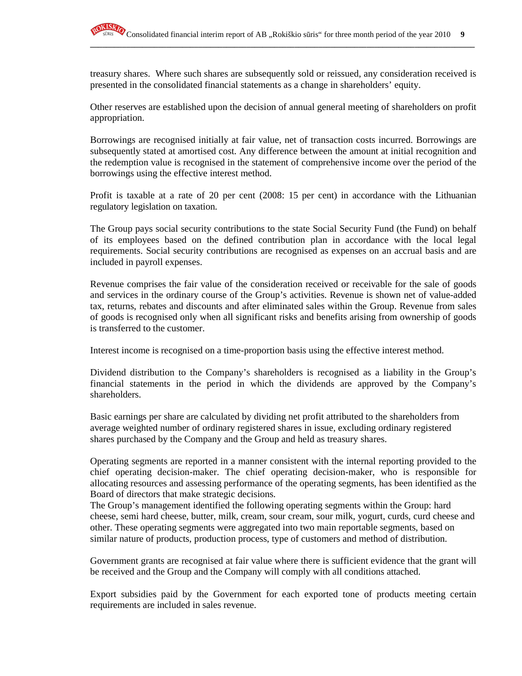

treasury shares. Where such shares are subsequently sold or reissued, any consideration received is presented in the consolidated financial statements as a change in shareholders' equity.

**\_\_\_\_\_\_\_\_\_\_\_\_\_\_\_\_\_\_\_\_\_\_\_\_\_\_\_\_\_\_\_\_\_\_\_\_\_\_\_\_\_\_\_\_\_\_\_\_\_\_\_\_\_\_\_\_\_\_\_\_\_\_\_\_\_\_\_\_\_\_\_\_\_\_\_\_\_\_\_\_\_\_\_\_\_\_\_\_\_\_\_\_\_\_\_\_**

Other reserves are established upon the decision of annual general meeting of shareholders on profit appropriation.

Borrowings are recognised initially at fair value, net of transaction costs incurred. Borrowings are subsequently stated at amortised cost. Any difference between the amount at initial recognition and the redemption value is recognised in the statement of comprehensive income over the period of the borrowings using the effective interest method.

Profit is taxable at a rate of 20 per cent (2008: 15 per cent) in accordance with the Lithuanian regulatory legislation on taxation.

The Group pays social security contributions to the state Social Security Fund (the Fund) on behalf of its employees based on the defined contribution plan in accordance with the local legal requirements. Social security contributions are recognised as expenses on an accrual basis and are included in payroll expenses.

Revenue comprises the fair value of the consideration received or receivable for the sale of goods and services in the ordinary course of the Group's activities. Revenue is shown net of value-added tax, returns, rebates and discounts and after eliminated sales within the Group. Revenue from sales of goods is recognised only when all significant risks and benefits arising from ownership of goods is transferred to the customer.

Interest income is recognised on a time-proportion basis using the effective interest method.

Dividend distribution to the Company's shareholders is recognised as a liability in the Group's financial statements in the period in which the dividends are approved by the Company's shareholders.

Basic earnings per share are calculated by dividing net profit attributed to the shareholders from average weighted number of ordinary registered shares in issue, excluding ordinary registered shares purchased by the Company and the Group and held as treasury shares.

Operating segments are reported in a manner consistent with the internal reporting provided to the chief operating decision-maker. The chief operating decision-maker, who is responsible for allocating resources and assessing performance of the operating segments, has been identified as the Board of directors that make strategic decisions.

The Group's management identified the following operating segments within the Group: hard cheese, semi hard cheese, butter, milk, cream, sour cream, sour milk, yogurt, curds, curd cheese and other. These operating segments were aggregated into two main reportable segments, based on similar nature of products, production process, type of customers and method of distribution.

Government grants are recognised at fair value where there is sufficient evidence that the grant will be received and the Group and the Company will comply with all conditions attached.

Export subsidies paid by the Government for each exported tone of products meeting certain requirements are included in sales revenue.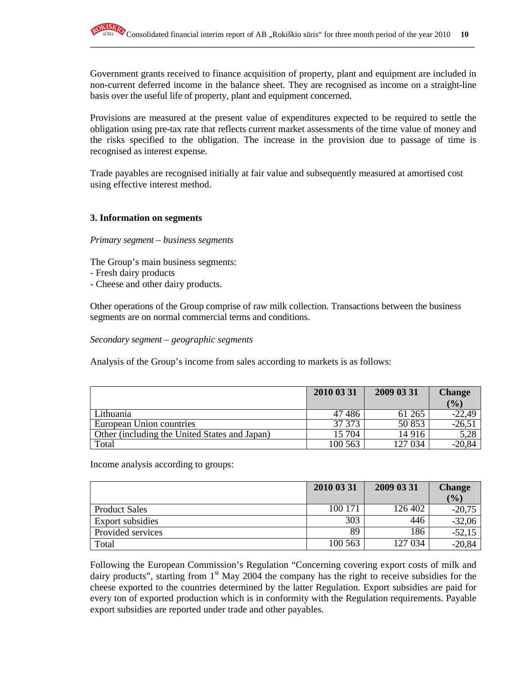Government grants received to finance acquisition of property, plant and equipment are included in non-current deferred income in the balance sheet. They are recognised as income on a straight-line basis over the useful life of property, plant and equipment concerned.

**\_\_\_\_\_\_\_\_\_\_\_\_\_\_\_\_\_\_\_\_\_\_\_\_\_\_\_\_\_\_\_\_\_\_\_\_\_\_\_\_\_\_\_\_\_\_\_\_\_\_\_\_\_\_\_\_\_\_\_\_\_\_\_\_\_\_\_\_\_\_\_\_\_\_\_\_\_\_\_\_\_\_\_\_\_\_\_\_\_\_\_\_\_\_\_\_**

Provisions are measured at the present value of expenditures expected to be required to settle the obligation using pre-tax rate that reflects current market assessments of the time value of money and the risks specified to the obligation. The increase in the provision due to passage of time is recognised as interest expense.

Trade payables are recognised initially at fair value and subsequently measured at amortised cost using effective interest method.

#### **3. Information on segments**

#### *Primary segment – business segments*

The Group's main business segments:

- Fresh dairy products
- Cheese and other dairy products.

Other operations of the Group comprise of raw milk collection. Transactions between the business segments are on normal commercial terms and conditions.

*Secondary segment – geographic segments* 

Analysis of the Group's income from sales according to markets is as follows:

|                                               | 2010 03 31 | 2009 03 31 | <b>Change</b> |
|-----------------------------------------------|------------|------------|---------------|
|                                               |            |            | $($ %)        |
| Lithuania                                     | 47486      | 61 265     | $-22,49$      |
| European Union countries                      | 37 373     | 50 853     | $-26,5$       |
| Other (including the United States and Japan) | 15 704     | 14 916     | 5,28          |
| Total                                         | 100 563    | 127 034    | $-20,84$      |

Income analysis according to groups:

|                      | 2010 03 31 | 2009 03 31 | <b>Change</b> |
|----------------------|------------|------------|---------------|
|                      |            |            | (%)           |
| <b>Product Sales</b> | 100 171    | 126 402    | $-20,75$      |
| Export subsidies     | 303        | 446        | $-32,06$      |
| Provided services    | 89         | 186        | $-52,15$      |
| Total                | 100 563    | 127 034    | $-20,84$      |

Following the European Commission's Regulation "Concerning covering export costs of milk and dairy products", starting from  $1<sup>st</sup>$  May 2004 the company has the right to receive subsidies for the cheese exported to the countries determined by the latter Regulation. Export subsidies are paid for every ton of exported production which is in conformity with the Regulation requirements. Payable export subsidies are reported under trade and other payables.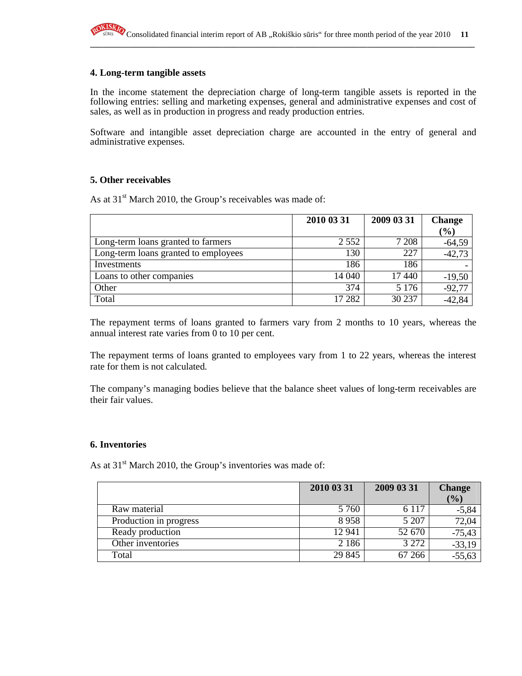#### **4. Long-term tangible assets**

In the income statement the depreciation charge of long-term tangible assets is reported in the following entries: selling and marketing expenses, general and administrative expenses and cost of sales, as well as in production in progress and ready production entries.

Software and intangible asset depreciation charge are accounted in the entry of general and administrative expenses.

#### **5. Other receivables**

As at  $31<sup>st</sup>$  March 2010, the Group's receivables was made of:

|                                      | 2010 03 31 | 2009 03 31 | <b>Change</b> |
|--------------------------------------|------------|------------|---------------|
|                                      |            |            | $(\%)$        |
| Long-term loans granted to farmers   | 2 5 5 2    | 7 2 0 8    | $-64,59$      |
| Long-term loans granted to employees | 130        | 227        | $-42,73$      |
| Investments                          | 186        | 186        |               |
| Loans to other companies             | 14 040     | 17 440     | $-19,50$      |
| Other                                | 374        | 5 1 7 6    | $-92,77$      |
| Total                                | 17 282     | 30 237     | $-42,84$      |

The repayment terms of loans granted to farmers vary from 2 months to 10 years, whereas the annual interest rate varies from 0 to 10 per cent.

The repayment terms of loans granted to employees vary from 1 to 22 years, whereas the interest rate for them is not calculated.

The company's managing bodies believe that the balance sheet values of long-term receivables are their fair values.

#### **6. Inventories**

As at  $31<sup>st</sup>$  March 2010, the Group's inventories was made of:

|                        | 2010 03 31 | 2009 03 31 | <b>Change</b> |
|------------------------|------------|------------|---------------|
|                        |            |            | $\frac{1}{2}$ |
| Raw material           | 5 7 6 0    | 6 1 1 7    | $-5,84$       |
| Production in progress | 8958       | 5 207      | 72,04         |
| Ready production       | 12 941     | 52 670     | $-75,43$      |
| Other inventories      | 2 1 8 6    | 3 2 7 2    | $-33,19$      |
| Total                  | 29 845     | 67 266     | $-55,63$      |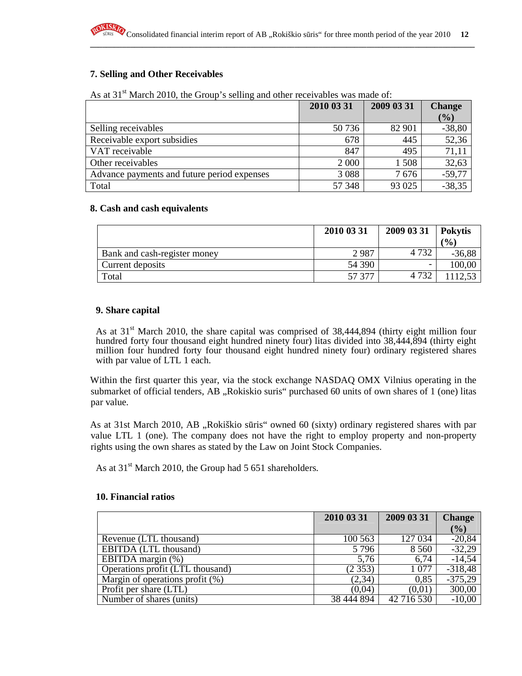**\_\_\_\_\_\_\_\_\_\_\_\_\_\_\_\_\_\_\_\_\_\_\_\_\_\_\_\_\_\_\_\_\_\_\_\_\_\_\_\_\_\_\_\_\_\_\_\_\_\_\_\_\_\_\_\_\_\_\_\_\_\_\_\_\_\_\_\_\_\_\_\_\_\_\_\_\_\_\_\_\_\_\_\_\_\_\_\_\_\_\_\_\_\_\_\_**

#### **7. Selling and Other Receivables**

| As at 31 <sup>st</sup> March 2010, the Group's selling and other receivables was made of: |
|-------------------------------------------------------------------------------------------|
|-------------------------------------------------------------------------------------------|

|                                             | 2010 03 31 | 2009 03 31 | <b>Change</b> |
|---------------------------------------------|------------|------------|---------------|
|                                             |            |            | $\frac{1}{2}$ |
| Selling receivables                         | 50 736     | 82 901     | $-38,80$      |
| Receivable export subsidies                 | 678        | 445        | 52,36         |
| VAT receivable                              | 847        | 495        | 71,11         |
| Other receivables                           | 2 0 0 0    | 1508       | 32,63         |
| Advance payments and future period expenses | 3 0 8 8    | 7676       | $-59,77$      |
| Total                                       | 57 348     | 93 025     | $-38,35$      |

#### **8. Cash and cash equivalents**

|                              | 2010 03 31 | 2009 03 31               | <b>Pokytis</b>             |
|------------------------------|------------|--------------------------|----------------------------|
|                              |            |                          | $\mathcal{O}_{\mathbf{0}}$ |
| Bank and cash-register money | 2987       | 4 7 3 2                  | $-36,88$                   |
| Current deposits             | 54 390     | $\overline{\phantom{0}}$ | 100,00                     |
| Total                        | 57 377     | 4 732                    |                            |

#### **9. Share capital**

As at  $31<sup>st</sup>$  March 2010, the share capital was comprised of 38,444,894 (thirty eight million four hundred forty four thousand eight hundred ninety four) litas divided into 38,444,894 (thirty eight million four hundred forty four thousand eight hundred ninety four) ordinary registered shares with par value of LTL 1 each.

Within the first quarter this year, via the stock exchange NASDAQ OMX Vilnius operating in the submarket of official tenders, AB "Rokiskio suris" purchased 60 units of own shares of 1 (one) litas par value.

As at 31st March 2010, AB "Rokiškio sūris" owned 60 (sixty) ordinary registered shares with par value LTL 1 (one). The company does not have the right to employ property and non-property rights using the own shares as stated by the Law on Joint Stock Companies.

As at  $31<sup>st</sup>$  March 2010, the Group had 5 651 shareholders.

#### **10. Financial ratios**

|                                    | 2010 03 31 | 2009 03 31 | <b>Change</b> |
|------------------------------------|------------|------------|---------------|
|                                    |            |            | (%)           |
| Revenue (LTL thousand)             | 100 563    | 127 034    | $-20,84$      |
| EBITDA (LTL thousand)              | 5796       | 8 5 6 0    | $-32,29$      |
| EBITDA margin $(\%)$               | 5,76       | 6,74       | $-14,54$      |
| Operations profit (LTL thousand)   | (2353)     | 1077       | $-318,48$     |
| Margin of operations profit $(\%)$ | (2, 34)    | 0,85       | $-375,29$     |
| Profit per share (LTL)             | (0,04)     | (0,01)     | 300,00        |
| Number of shares (units)           | 38 444 894 | 42 716 530 | $-10,00$      |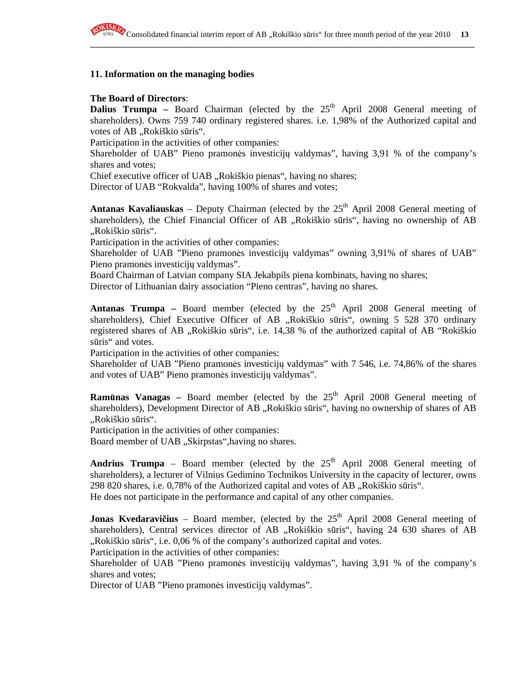**\_\_\_\_\_\_\_\_\_\_\_\_\_\_\_\_\_\_\_\_\_\_\_\_\_\_\_\_\_\_\_\_\_\_\_\_\_\_\_\_\_\_\_\_\_\_\_\_\_\_\_\_\_\_\_\_\_\_\_\_\_\_\_\_\_\_\_\_\_\_\_\_\_\_\_\_\_\_\_\_\_\_\_\_\_\_\_\_\_\_\_\_\_\_\_\_**

#### **11. Information on the managing bodies**

#### **The Board of Directors**:

**Dalius Trumpa** – Board Chairman (elected by the  $25<sup>th</sup>$  April 2008 General meeting of shareholders). Owns 759 740 ordinary registered shares. i.e. 1,98% of the Authorized capital and votes of AB "Rokiškio sūris".

Participation in the activities of other companies:

Shareholder of UAB" Pieno pramonės investicijų valdymas", having 3,91 % of the company's shares and votes;

Chief executive officer of UAB "Rokiškio pienas", having no shares;

Director of UAB "Rokvalda", having 100% of shares and votes;

**Antanas Kavaliauskas** – Deputy Chairman (elected by the  $25<sup>th</sup>$  April 2008 General meeting of shareholders), the Chief Financial Officer of AB "Rokiškio sūris", having no ownership of AB "Rokiškio sūris".

Participation in the activities of other companies:

Shareholder of UAB "Pieno pramonės investicijų valdymas" owning 3,91% of shares of UAB" Pieno pramonės investicijų valdymas".

Board Chairman of Latvian company SIA Jekabpils piena kombinats, having no shares;

Director of Lithuanian dairy association "Pieno centras", having no shares.

**Antanas Trumpa** – Board member (elected by the  $25<sup>th</sup>$  April 2008 General meeting of shareholders), Chief Executive Officer of AB "Rokiškio sūris", owning 5 528 370 ordinary registered shares of AB "Rokiškio sūris", i.e. 14,38 % of the authorized capital of AB "Rokiškio sūris" and votes.

Participation in the activities of other companies:

Shareholder of UAB "Pieno pramonės investicijų valdymas" with 7 546, i.e. 74,86% of the shares and votes of UAB" Pieno pramonės investicijų valdymas".

**Ramūnas Vanagas** – Board member (elected by the  $25<sup>th</sup>$  April 2008 General meeting of shareholders), Development Director of AB "Rokiškio sūris", having no ownership of shares of AB "Rokiškio sūris".

Participation in the activities of other companies:

Board member of UAB "Skirpstas", having no shares.

**Andrius Trumpa** – Board member (elected by the  $25<sup>th</sup>$  April 2008 General meeting of shareholders), a lecturer of Vilnius Gedimino Technikos University in the capacity of lecturer, owns  $298820$  shares, i.e.  $0,78\%$  of the Authorized capital and votes of AB  $, R$ okiškio sūris". He does not participate in the performance and capital of any other companies.

**Jonas Kvedaravičius** – Board member, (elected by the 25<sup>th</sup> April 2008 General meeting of shareholders), Central services director of AB "Rokiškio sūris", having 24 630 shares of AB "Rokiškio sūris", i.e. 0,06 % of the company's authorized capital and votes.

Participation in the activities of other companies:

Shareholder of UAB "Pieno pramonės investicijų valdymas", having 3,91 % of the company's shares and votes;

Director of UAB "Pieno pramonės investicijų valdymas".